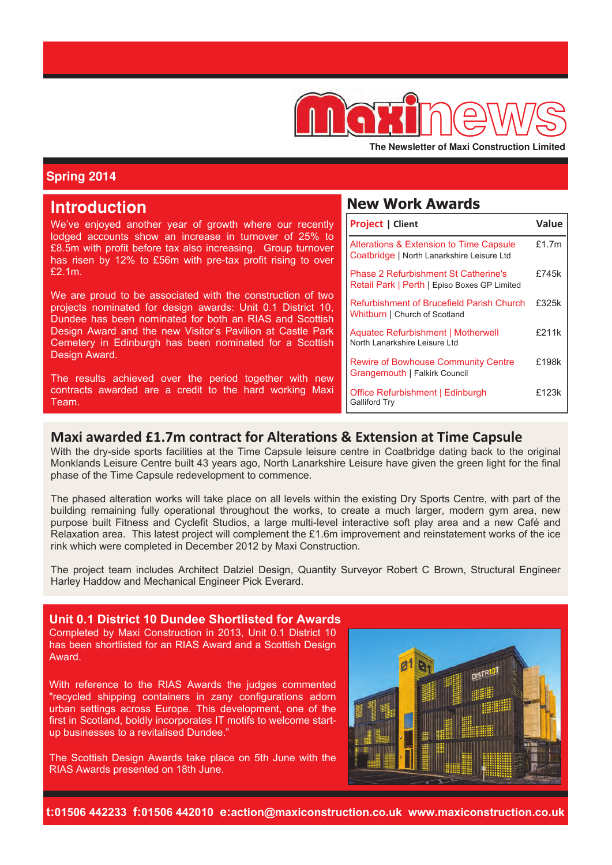

The Newsletter of Maxi Construction Limited

# **Spring 2014**

| <b>Introduction</b>                                                                                                                                                                   | <b>New Work Awards</b>                                                                      |       |
|---------------------------------------------------------------------------------------------------------------------------------------------------------------------------------------|---------------------------------------------------------------------------------------------|-------|
| We've enjoyed another year of growth where our recently                                                                                                                               | <b>Project   Client</b>                                                                     | Value |
| lodged accounts show an increase in turnover of 25% to<br>£8.5m with profit before tax also increasing. Group turnover<br>has risen by 12% to £56m with pre-tax profit rising to over | Alterations & Extension to Time Capsule<br>Coatbridge   North Lanarkshire Leisure Ltd       | £1.7m |
| £2.1m.                                                                                                                                                                                | <b>Phase 2 Refurbishment St Catherine's</b><br>Retail Park   Perth   Episo Boxes GP Limited | £745k |
| We are proud to be associated with the construction of two<br>projects nominated for design awards: Unit 0.1 District 10,<br>Dundee has been nominated for both an RIAS and Scottish  | Refurbishment of Brucefield Parish Church<br>Whitburn   Church of Scotland                  | £325k |
| Design Award and the new Visitor's Pavilion at Castle Park<br>Cemetery in Edinburgh has been nominated for a Scottish                                                                 | Aquatec Refurbishment   Motherwell<br>North Lanarkshire Leisure Ltd                         | £211k |
| Design Award.<br>The results achieved over the period together with new                                                                                                               | <b>Rewire of Bowhouse Community Centre</b><br>Grangemouth   Falkirk Council                 | £198k |
| contracts awarded are a credit to the hard working Maxi<br>Team.                                                                                                                      | Office Refurbishment   Edinburgh<br><b>Galliford Try</b>                                    | £123k |

# **Maxi awarded £1.7m contract for Alterations & Extension at Time Capsule**

With the dry-side sports facilities at the Time Capsule leisure centre in Coatbridge dating back to the original Monklands Leisure Centre built 43 years ago, North Lanarkshire Leisure have given the green light for the final phase of the Time Capsule redevelopment to commence.

The phased alteration works will take place on all levels within the existing Dry Sports Centre, with part of the building remaining fully operational throughout the works, to create a much larger, modern gym area, new purpose built Fitness and Cyclefit Studios, a large multi-level interactive soft play area and a new Café and Relaxation area. This latest project will complement the £1.6m improvement and reinstatement works of the ice rink which were completed in December 2012 by Maxi Construction.

The project team includes Architect Dalziel Design, Quantity Surveyor Robert C Brown, Structural Engineer Harley Haddow and Mechanical Engineer Pick Everard.

#### **Unit 0.1 District 10 Dundee Shortlisted for Awards** Completed by Maxi Construction in 2013, Unit 0.1 District 10 has been shortlisted for an RIAS Award and a Scottish Design Award.

With reference to the RIAS Awards the judges commented "recycled shipping containers in zany configurations adorn urban settings across Europe. This development, one of the first in Scotland, boldly incorporates IT motifs to welcome startup businesses to a revitalised Dundee."

The Scottish Design Awards take place on 5th June with the RIAS Awards presented on 18th June.



**t:01506 442233 f:01506 442010 e:action@maxiconstruction.co.uk www.maxiconstruction.co.uk**